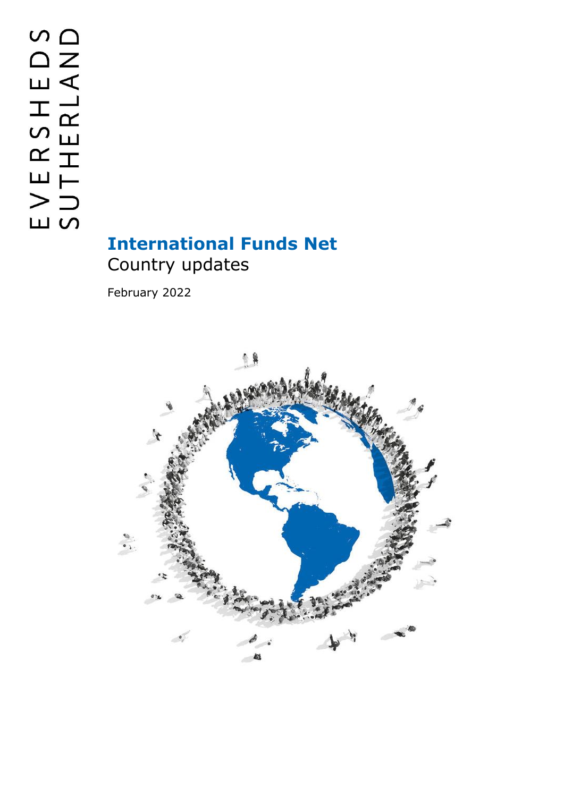# **International Funds Net** Country updates

February 2022

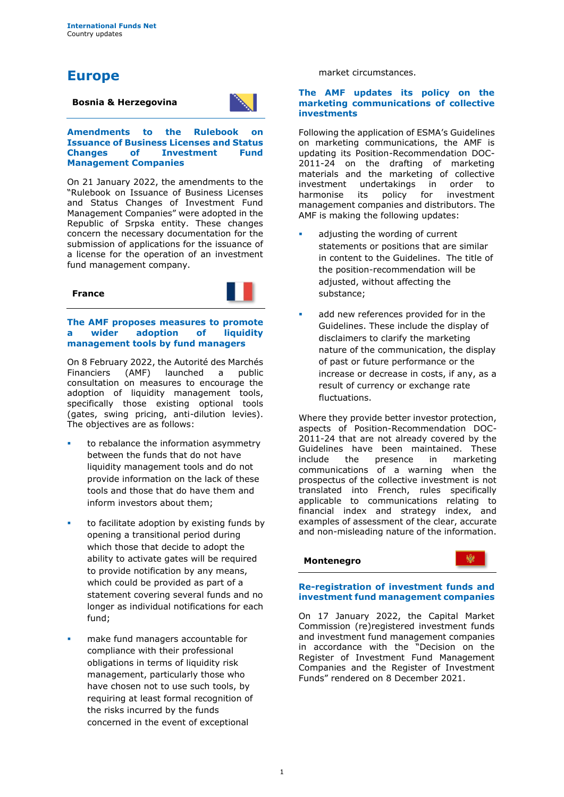## **Europe**

#### **Bosnia & Herzegovina**



**Amendments to the Rulebook on Issuance of Business Licenses and Status Changes of Investment Fund Management Companies**

On 21 January 2022, the amendments to the "Rulebook on Issuance of Business Licenses and Status Changes of Investment Fund Management Companies" were adopted in the Republic of Srpska entity. These changes concern the necessary documentation for the submission of applications for the issuance of a license for the operation of an investment fund management company.



#### **The AMF proposes measures to promote a wider adoption of liquidity management tools by fund managers**

On 8 February 2022, the Autorité des Marchés Financiers (AMF) launched a public consultation on measures to encourage the adoption of liquidity management tools, specifically those existing optional tools (gates, swing pricing, anti-dilution levies). The objectives are as follows:

- to rebalance the information asymmetry between the funds that do not have liquidity management tools and do not provide information on the lack of these tools and those that do have them and inform investors about them;
- to facilitate adoption by existing funds by opening a transitional period during which those that decide to adopt the ability to activate gates will be required to provide notification by any means, which could be provided as part of a statement covering several funds and no longer as individual notifications for each fund;
- make fund managers accountable for compliance with their professional obligations in terms of liquidity risk management, particularly those who have chosen not to use such tools, by requiring at least formal recognition of the risks incurred by the funds concerned in the event of exceptional

#### market circumstances.

#### **The AMF updates its policy on the marketing communications of collective investments**

Following the application of ESMA's Guidelines on marketing communications, the AMF is updating its Position-Recommendation DOC-2011-24 on the drafting of marketing materials and the marketing of collective<br>investment undertakings in order to investment undertakings in order to<br>harmonise its policy for investment policy for investment management companies and distributors. The AMF is making the following updates:

- adjusting the wording of current statements or positions that are similar in content to the Guidelines. The title of the position-recommendation will be adjusted, without affecting the substance;
- add new references provided for in the Guidelines. These include the display of disclaimers to clarify the marketing nature of the communication, the display of past or future performance or the increase or decrease in costs, if any, as a result of currency or exchange rate fluctuations.

Where they provide better investor protection, aspects of Position-Recommendation DOC-2011-24 that are not already covered by the Guidelines have been maintained. These include the presence in marketing communications of a warning when the prospectus of the collective investment is not translated into French, rules specifically applicable to communications relating to financial index and strategy index, and examples of assessment of the clear, accurate and non-misleading nature of the information.

#### **Montenegro**

繃

#### **Re-registration of investment funds and investment fund management companies**

On 17 January 2022, the Capital Market Commission (re)registered investment funds and investment fund management companies in accordance with the "Decision on the Register of Investment Fund Management Companies and the Register of Investment Funds" rendered on 8 December 2021.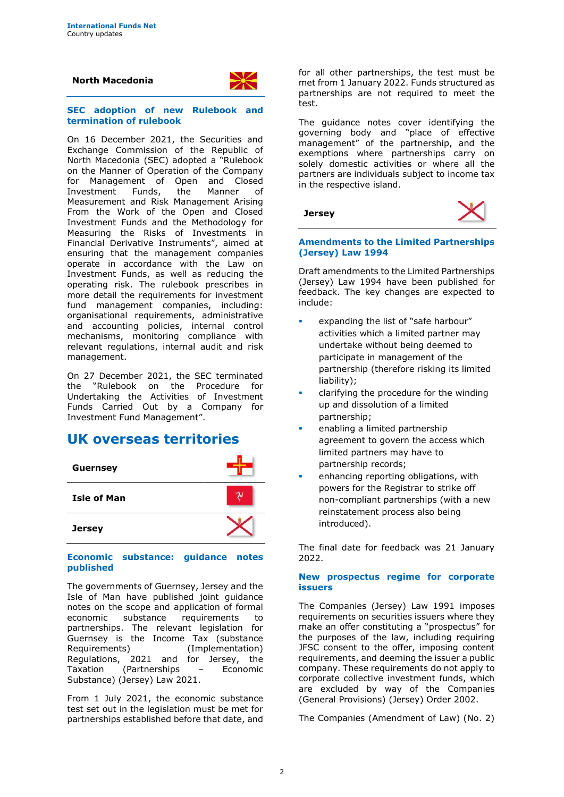#### **North Macedonia**



#### **SEC adoption of new Rulebook and termination of rulebook**

On 16 December 2021, the Securities and Exchange Commission of the Republic of North Macedonia (SEC) adopted a "Rulebook on the Manner of Operation of the Company for Management of Open and Closed<br>Investment Funds, the Manner of Investment Funds, the Manner of Measurement and Risk Management Arising From the Work of the Open and Closed Investment Funds and the Methodology for Measuring the Risks of Investments in Financial Derivative Instruments", aimed at ensuring that the management companies operate in accordance with the Law on Investment Funds, as well as reducing the operating risk. The rulebook prescribes in more detail the requirements for investment fund management companies, including: organisational requirements, administrative and accounting policies, internal control mechanisms, monitoring compliance with relevant regulations, internal audit and risk management.

On 27 December 2021, the SEC terminated the "Rulebook on the Procedure for Undertaking the Activities of Investment Funds Carried Out by a Company for Investment Fund Management".

## **UK overseas territories**



#### **Economic substance: guidance notes published**

The governments of Guernsey, Jersey and the Isle of Man have published joint guidance notes on the scope and application of formal economic substance requirements to partnerships. The relevant legislation for Guernsey is the Income Tax (substance Requirements) (Implementation) Regulations, 2021 and for Jersey, the Taxation (Partnerships – Economic Substance) (Jersey) Law 2021.

From 1 July 2021, the economic substance test set out in the legislation must be met for partnerships established before that date, and for all other partnerships, the test must be met from 1 January 2022. Funds structured as partnerships are not required to meet the test.

The guidance notes cover identifying the governing body and "place of effective management" of the partnership, and the exemptions where partnerships carry on solely domestic activities or where all the partners are individuals subject to income tax in the respective island.

**Jersey**



#### **Amendments to the Limited Partnerships (Jersey) Law 1994**

Draft amendments to the Limited Partnerships (Jersey) Law 1994 have been published for feedback. The key changes are expected to include:

- expanding the list of "safe harbour" activities which a limited partner may undertake without being deemed to participate in management of the partnership (therefore risking its limited liability);
- clarifying the procedure for the winding up and dissolution of a limited partnership;
- enabling a limited partnership agreement to govern the access which limited partners may have to partnership records;
- enhancing reporting obligations, with powers for the Registrar to strike off non-compliant partnerships (with a new reinstatement process also being introduced).

The final date for feedback was 21 January 2022.

#### **New prospectus regime for corporate issuers**

The Companies (Jersey) Law 1991 imposes requirements on securities issuers where they make an offer constituting a "prospectus" for the purposes of the law, including requiring JFSC consent to the offer, imposing content requirements, and deeming the issuer a public company. These requirements do not apply to corporate collective investment funds, which are excluded by way of the Companies (General Provisions) (Jersey) Order 2002.

The Companies (Amendment of Law) (No. 2)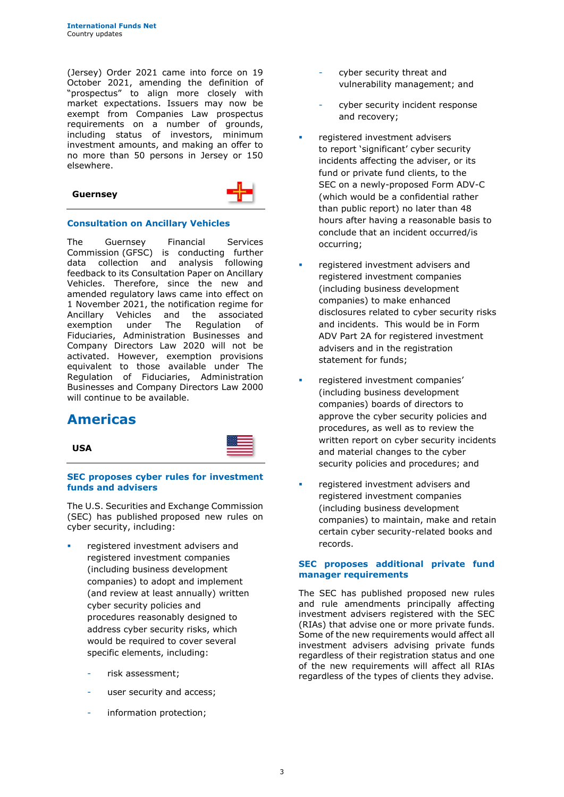(Jersey) Order 2021 came into force on 19 October 2021, amending the definition of "prospectus" to align more closely with market expectations. Issuers may now be exempt from Companies Law prospectus requirements on a number of grounds, including status of investors, minimum investment amounts, and making an offer to no more than 50 persons in Jersey or 150 elsewhere.

| <b>Guernsey</b> |  |
|-----------------|--|
|-----------------|--|



#### **Consultation on Ancillary Vehicles**

The Guernsey Financial Services Commission (GFSC) is conducting further<br>data collection and analysis following data collection and analysis following feedback to its Consultation Paper on Ancillary Vehicles. Therefore, since the new and amended regulatory laws came into effect on 1 November 2021, the notification regime for Ancillary Vehicles and the associated exemption under The Regulation of Fiduciaries, Administration Businesses and Company Directors Law 2020 will not be activated. However, exemption provisions equivalent to those available under The Regulation of Fiduciaries, Administration Businesses and Company Directors Law 2000 will continue to be available.

## **Americas**

**USA**



#### **SEC proposes cyber rules for investment funds and advisers**

The U.S. Securities and Exchange Commission (SEC) has published proposed new rules on cyber security, including:

- registered investment advisers and registered investment companies (including business development companies) to adopt and implement (and review at least annually) written cyber security policies and procedures reasonably designed to address cyber security risks, which would be required to cover several specific elements, including:
	- risk assessment;
	- user security and access;
	- information protection;
- cyber security threat and vulnerability management; and
- cyber security incident response and recovery;
- registered investment advisers to report 'significant' cyber security incidents affecting the adviser, or its fund or private fund clients, to the SEC on a newly-proposed Form ADV-C (which would be a confidential rather than public report) no later than 48 hours after having a reasonable basis to conclude that an incident occurred/is occurring;
- registered investment advisers and registered investment companies (including business development companies) to make enhanced disclosures related to cyber security risks and incidents. This would be in Form ADV Part 2A for registered investment advisers and in the registration statement for funds;
- registered investment companies' (including business development companies) boards of directors to approve the cyber security policies and procedures, as well as to review the written report on cyber security incidents and material changes to the cyber security policies and procedures; and
- registered investment advisers and registered investment companies (including business development companies) to maintain, make and retain certain cyber security-related books and records.

#### **SEC proposes additional private fund manager requirements**

The SEC has published proposed new rules and rule amendments principally affecting investment advisers registered with the SEC (RIAs) that advise one or more private funds. Some of the new requirements would affect all investment advisers advising private funds regardless of their registration status and one of the new requirements will affect all RIAs regardless of the types of clients they advise.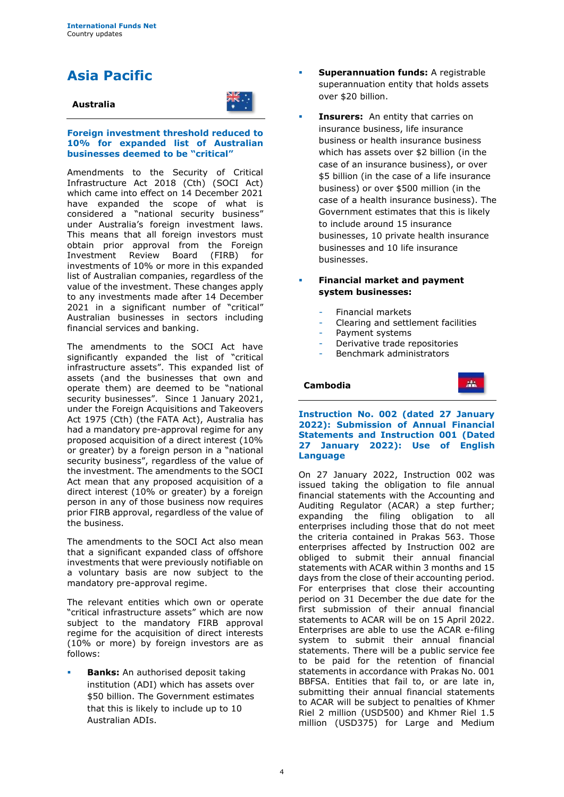## **Asia Pacific**

#### **Australia**



#### **Foreign investment threshold reduced to 10% for expanded list of Australian businesses deemed to be "critical"**

Amendments to the Security of Critical Infrastructure Act 2018 (Cth) (SOCI Act) which came into effect on 14 December 2021 have expanded the scope of what is considered a "national security business" under Australia's foreign investment laws. This means that all foreign investors must obtain prior approval from the Foreign<br>Investment Review Board (FIRB) for Investment Review Board (FIRB) for investments of 10% or more in this expanded list of Australian companies, regardless of the value of the investment. These changes apply to any investments made after 14 December 2021 in a significant number of "critical" Australian businesses in sectors including financial services and banking.

The amendments to the SOCI Act have significantly expanded the list of "critical infrastructure assets". This expanded list of assets (and the businesses that own and operate them) are deemed to be "national security businesses". Since 1 January 2021, under the Foreign Acquisitions and Takeovers Act 1975 (Cth) (the FATA Act), Australia has had a mandatory pre-approval regime for any proposed acquisition of a direct interest (10% or greater) by a foreign person in a "national security business", regardless of the value of the investment. The amendments to the SOCI Act mean that any proposed acquisition of a direct interest (10% or greater) by a foreign person in any of those business now requires prior FIRB approval, regardless of the value of the business.

The amendments to the SOCI Act also mean that a significant expanded class of offshore investments that were previously notifiable on a voluntary basis are now subject to the mandatory pre-approval regime.

The relevant entities which own or operate "critical infrastructure assets" which are now subject to the mandatory FIRB approval regime for the acquisition of direct interests (10% or more) by foreign investors are as follows:

**Banks:** An authorised deposit taking institution (ADI) which has assets over \$50 billion. The Government estimates that this is likely to include up to 10 Australian ADIs.

- **Superannuation funds:** A registrable superannuation entity that holds assets over \$20 billion.
- **Insurers:** An entity that carries on insurance business, life insurance business or health insurance business which has assets over \$2 billion (in the case of an insurance business), or over \$5 billion (in the case of a life insurance business) or over \$500 million (in the case of a health insurance business). The Government estimates that this is likely to include around 15 insurance businesses, 10 private health insurance businesses and 10 life insurance businesses.

#### **Financial market and payment system businesses:**

- Financial markets
- Clearing and settlement facilities
- Payment systems
- Derivative trade repositories
- Benchmark administrators

#### **Cambodia**



**Instruction No. 002 (dated 27 January 2022): Submission of Annual Financial Statements and Instruction 001 (Dated 27 January 2022): Use of English Language**

On 27 January 2022, Instruction 002 was issued taking the obligation to file annual financial statements with the Accounting and Auditing Regulator (ACAR) a step further; expanding the filing obligation to all enterprises including those that do not meet the criteria contained in Prakas 563. Those enterprises affected by Instruction 002 are obliged to submit their annual financial statements with ACAR within 3 months and 15 days from the close of their accounting period. For enterprises that close their accounting period on 31 December the due date for the first submission of their annual financial statements to ACAR will be on 15 April 2022. Enterprises are able to use the ACAR e-filing system to submit their annual financial statements. There will be a public service fee to be paid for the retention of financial statements in accordance with Prakas No. 001 BBFSA. Entities that fail to, or are late in, submitting their annual financial statements to ACAR will be subject to penalties of Khmer Riel 2 million (USD500) and Khmer Riel 1.5 million (USD375) for Large and Medium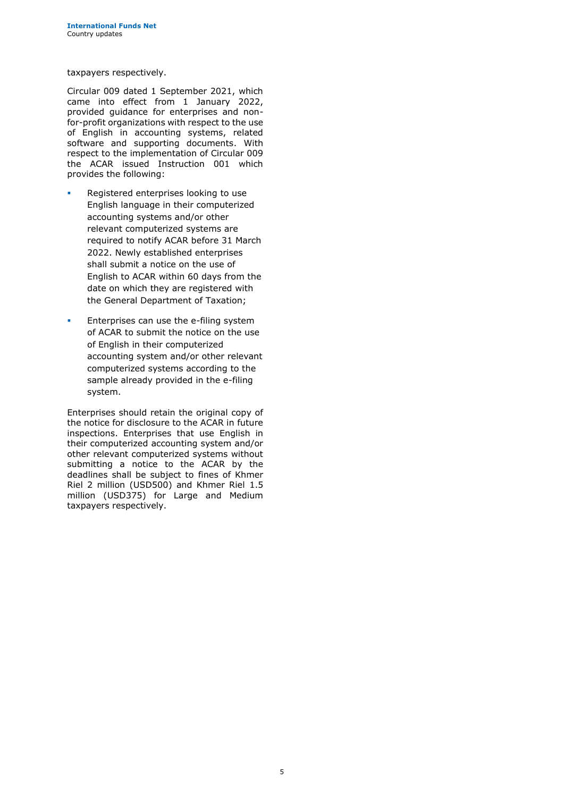taxpayers respectively.

Circular 009 dated 1 September 2021, which came into effect from 1 January 2022, provided guidance for enterprises and nonfor-profit organizations with respect to the use of English in accounting systems, related software and supporting documents. With respect to the implementation of Circular 009 the ACAR issued Instruction 001 which provides the following:

- Registered enterprises looking to use English language in their computerized accounting systems and/or other relevant computerized systems are required to notify ACAR before 31 March 2022. Newly established enterprises shall submit a notice on the use of English to ACAR within 60 days from the date on which they are registered with the General Department of Taxation;
- **Enterprises can use the e-filing system** of ACAR to submit the notice on the use of English in their computerized accounting system and/or other relevant computerized systems according to the sample already provided in the e-filing system.

Enterprises should retain the original copy of the notice for disclosure to the ACAR in future inspections. Enterprises that use English in their computerized accounting system and/or other relevant computerized systems without submitting a notice to the ACAR by the deadlines shall be subject to fines of Khmer Riel 2 million (USD500) and Khmer Riel 1.5 million (USD375) for Large and Medium taxpayers respectively.